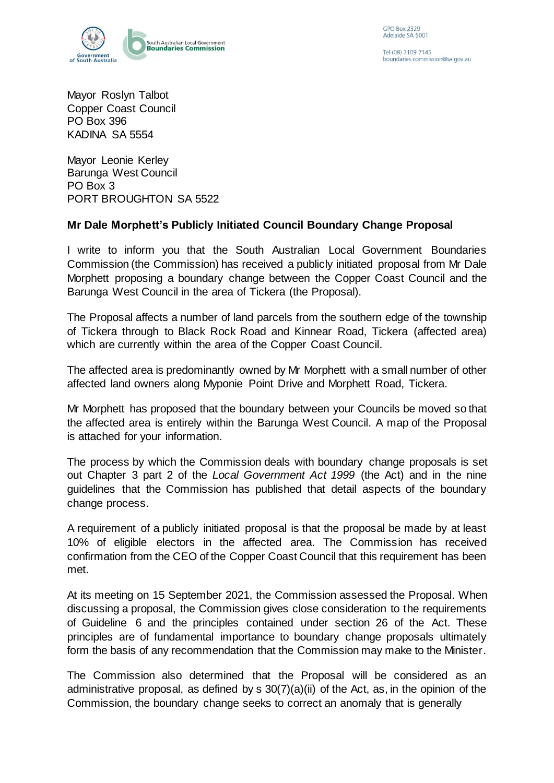

Tel (08) 7109 7145 boundaries commission@sa.gov.au

Mayor Roslyn Talbot Copper Coast Council PO Box 396 KADINA SA 5554

Mayor Leonie Kerley Barunga West Council PO Box 3 PORT BROUGHTON SA 5522

## **Mr Dale Morphett's Publicly Initiated Council Boundary Change Proposal**

I write to inform you that the South Australian Local Government Boundaries Commission (the Commission) has received a publicly initiated proposal from Mr Dale Morphett proposing a boundary change between the Copper Coast Council and the Barunga West Council in the area of Tickera (the Proposal).

The Proposal affects a number of land parcels from the southern edge of the township of Tickera through to Black Rock Road and Kinnear Road, Tickera (affected area) which are currently within the area of the Copper Coast Council.

The affected area is predominantly owned by Mr Morphett with a small number of other affected land owners along Myponie Point Drive and Morphett Road, Tickera.

Mr Morphett has proposed that the boundary between your Councils be moved so that the affected area is entirely within the Barunga West Council. A map of the Proposal is attached for your information.

The process by which the Commission deals with boundary change proposals is set out Chapter 3 part 2 of the *Local Government Act 1999* (the Act) and in the nine guidelines that the Commission has published that detail aspects of the boundary change process.

A requirement of a publicly initiated proposal is that the proposal be made by at least 10% of eligible electors in the affected area. The Commission has received confirmation from the CEO of the Copper Coast Council that this requirement has been met.

At its meeting on 15 September 2021, the Commission assessed the Proposal. When discussing a proposal, the Commission gives close consideration to the requirements of Guideline 6 and the principles contained under section 26 of the Act. These principles are of fundamental importance to boundary change proposals ultimately form the basis of any recommendation that the Commission may make to the Minister.

The Commission also determined that the Proposal will be considered as an administrative proposal, as defined by s 30(7)(a)(ii) of the Act, as, in the opinion of the Commission, the boundary change seeks to correct an anomaly that is generally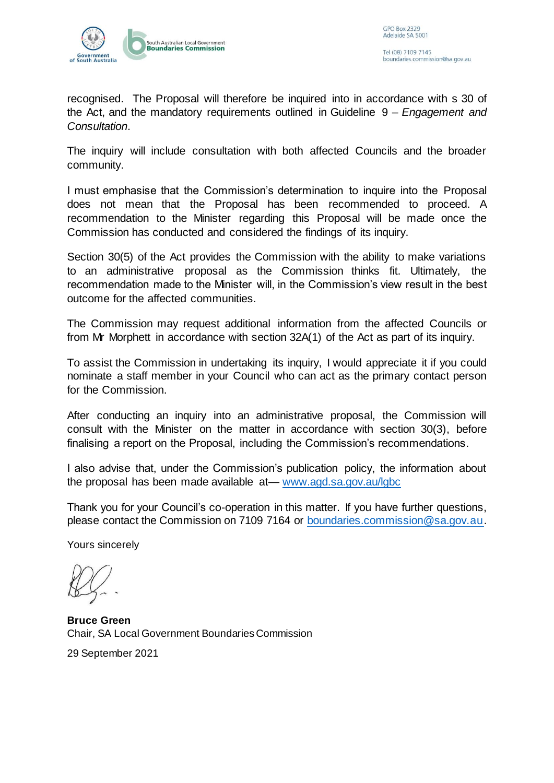

recognised. The Proposal will therefore be inquired into in accordance with s 30 of the Act, and the mandatory requirements outlined in Guideline 9 *– Engagement and Consultation*.

The inquiry will include consultation with both affected Councils and the broader community.

I must emphasise that the Commission's determination to inquire into the Proposal does not mean that the Proposal has been recommended to proceed. A recommendation to the Minister regarding this Proposal will be made once the Commission has conducted and considered the findings of its inquiry.

Section 30(5) of the Act provides the Commission with the ability to make variations to an administrative proposal as the Commission thinks fit. Ultimately, the recommendation made to the Minister will, in the Commission's view result in the best outcome for the affected communities.

The Commission may request additional information from the affected Councils or from Mr Morphett in accordance with section 32A(1) of the Act as part of its inquiry.

To assist the Commission in undertaking its inquiry, I would appreciate it if you could nominate a staff member in your Council who can act as the primary contact person for the Commission.

After conducting an inquiry into an administrative proposal, the Commission will consult with the Minister on the matter in accordance with section 30(3), before finalising a report on the Proposal, including the Commission's recommendations.

I also advise that, under the Commission's publication policy, the information about the proposal has been made available at— [www.agd.sa.gov.au/lgbc](http://www.agd.sa.gov.au/lgbc)

Thank you for your Council's co-operation in this matter. If you have further questions, please contact the Commission on 7109 7164 or [boundaries.commission@sa.gov.au.](mailto:boundaries.commission@sa.gov.au)

Yours sincerely

**Bruce Green** Chair, SA Local Government Boundaries Commission

29 September 2021